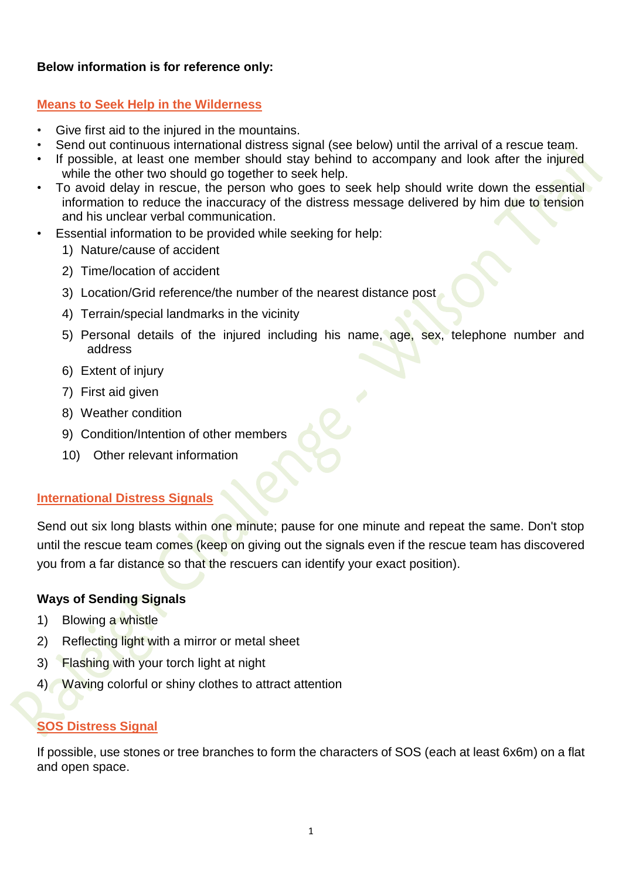# **Below information is for reference only:**

# **Means to Seek Help in the Wilderness**

- Give first aid to the injured in the mountains.
- Send out continuous international distress signal (see below) until the arrival of a rescue team.
- If possible, at least one member should stay behind to accompany and look after the injured while the other two should go together to seek help.
- To avoid delay in rescue, the person who goes to seek help should write down the essential information to reduce the inaccuracy of the distress message delivered by him due to tension and his unclear verbal communication.
- Essential information to be provided while seeking for help:
	- 1) Nature/cause of accident
	- 2) Time/location of accident
	- 3) Location/Grid reference/the number of the nearest distance post
	- 4) Terrain/special landmarks in the vicinity
	- 5) Personal details of the injured including his name, age, sex, telephone number and address
	- 6) Extent of injury
	- 7) First aid given
	- 8) Weather condition
	- 9) Condition/Intention of other members
	- 10) Other relevant information

# **International Distress Signals**

Send out six long blasts within one minute; pause for one minute and repeat the same. Don't stop until the rescue team comes (keep on giving out the signals even if the rescue team has discovered you from a far distance so that the rescuers can identify your exact position).

# **Ways of Sending Signals**

- 1) Blowing a whistle
- 2) Reflecting light with a mirror or metal sheet
- 3) Flashing with your torch light at night
- 4) Waving colorful or shiny clothes to attract attention

# **SOS Distress Signal**

If possible, use stones or tree branches to form the characters of SOS (each at least 6x6m) on a flat and open space.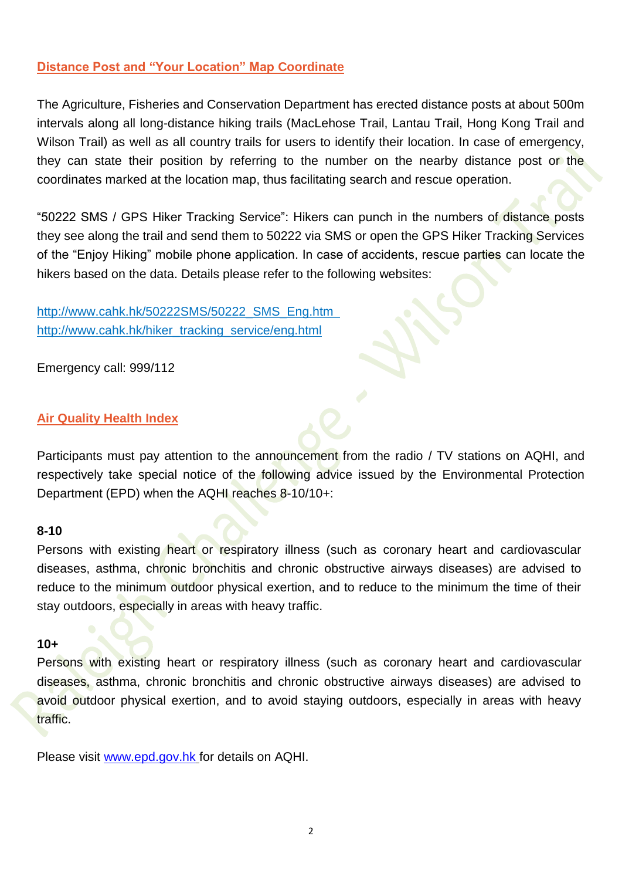### **Distance Post and "Your Location" Map Coordinate**

The Agriculture, Fisheries and Conservation Department has erected distance posts at about 500m intervals along all long-distance hiking trails (MacLehose Trail, Lantau Trail, Hong Kong Trail and Wilson Trail) as well as all country trails for users to identify their location. In case of emergency, they can state their position by referring to the number on the nearby distance post or the coordinates marked at the location map, thus facilitating search and rescue operation.

"50222 SMS / GPS Hiker Tracking Service": Hikers can punch in the numbers of distance posts they see along the trail and send them to 50222 via SMS or open the GPS Hiker Tracking Services of the "Enjoy Hiking" mobile phone application. In case of accidents, rescue parties can locate the hikers based on the data. Details please refer to the following websites:

[http://www.cahk.hk/50222SMS/50222\\_SMS\\_Eng.htm](http://www.cahk.hk/50222SMS/50222_SMS_Eng.htm) [http://www.cahk.hk/hiker\\_tracking\\_service/eng.html](http://www.cahk.hk/hiker_tracking_service/eng.html)

Emergency call: 999/112

#### **Air Quality Health Index**

Participants must pay attention to the announcement from the radio / TV stations on AQHI, and respectively take special notice of the following advice issued by the Environmental Protection Department (EPD) when the AQHI reaches 8-10/10+:

#### **8-10**

Persons with existing heart or respiratory illness (such as coronary heart and cardiovascular diseases, asthma, chronic bronchitis and chronic obstructive airways diseases) are advised to reduce to the minimum outdoor physical exertion, and to reduce to the minimum the time of their stay outdoors, especially in areas with heavy traffic.

#### **10+**

Persons with existing heart or respiratory illness (such as coronary heart and cardiovascular diseases, asthma, chronic bronchitis and chronic obstructive airways diseases) are advised to avoid outdoor physical exertion, and to avoid staying outdoors, especially in areas with heavy traffic.

Please visit [www.epd.gov.hk](http://www.epd.gov.hk/) for details on AQHI.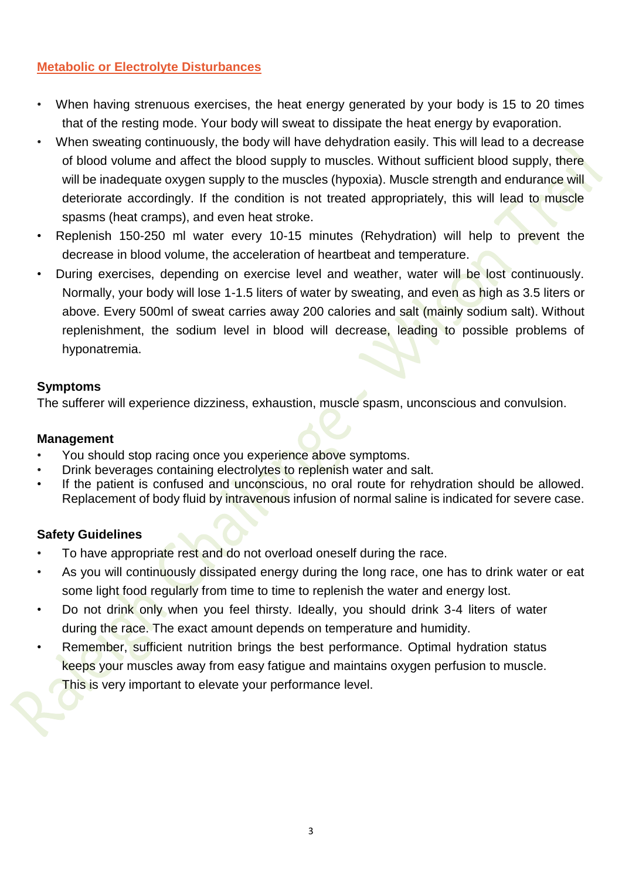# **Metabolic or Electrolyte Disturbances**

- When having strenuous exercises, the heat energy generated by your body is 15 to 20 times that of the resting mode. Your body will sweat to dissipate the heat energy by evaporation.
- When sweating continuously, the body will have dehydration easily. This will lead to a decrease of blood volume and affect the blood supply to muscles. Without sufficient blood supply, there will be inadequate oxygen supply to the muscles (hypoxia). Muscle strength and endurance will deteriorate accordingly. If the condition is not treated appropriately, this will lead to muscle spasms (heat cramps), and even heat stroke.
- Replenish 150-250 ml water every 10-15 minutes (Rehydration) will help to prevent the decrease in blood volume, the acceleration of heartbeat and temperature.
- During exercises, depending on exercise level and weather, water will be lost continuously. Normally, your body will lose 1-1.5 liters of water by sweating, and even as high as 3.5 liters or above. Every 500ml of sweat carries away 200 calories and salt (mainly sodium salt). Without replenishment, the sodium level in blood will decrease, leading to possible problems of hyponatremia.

### **Symptoms**

The sufferer will experience dizziness, exhaustion, muscle spasm, unconscious and convulsion.

### **Management**

- You should stop racing once you experience above symptoms.
- Drink beverages containing electrolytes to replenish water and salt.
- If the patient is confused and unconscious, no oral route for rehydration should be allowed. Replacement of body fluid by intravenous infusion of normal saline is indicated for severe case.

# **Safety Guidelines**

- To have appropriate rest and do not overload oneself during the race.
- As you will continuously dissipated energy during the long race, one has to drink water or eat some light food regularly from time to time to replenish the water and energy lost.
- Do not drink only when you feel thirsty. Ideally, you should drink 3-4 liters of water during the race. The exact amount depends on temperature and humidity.
- Remember, sufficient nutrition brings the best performance. Optimal hydration status keeps your muscles away from easy fatigue and maintains oxygen perfusion to muscle. This is very important to elevate your performance level.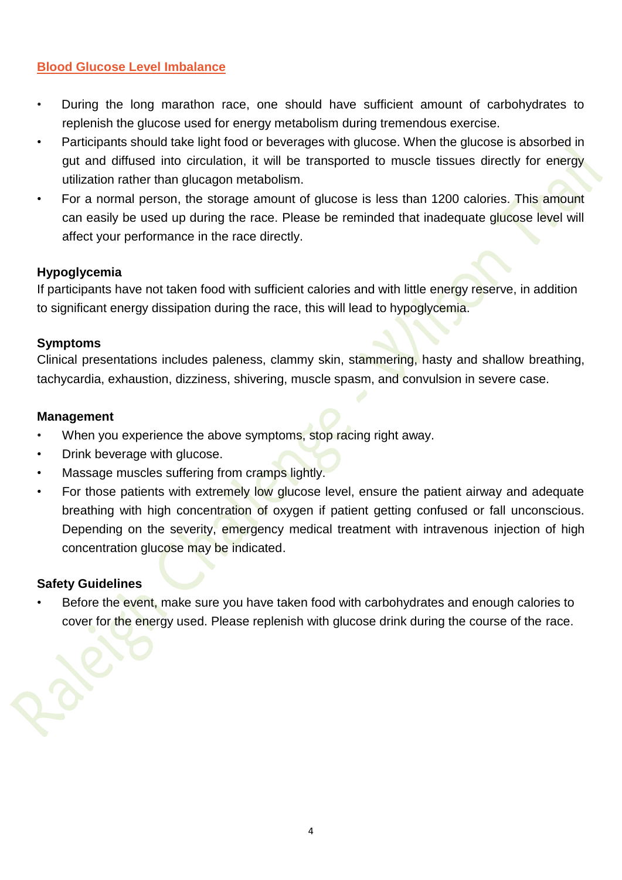### **Blood Glucose Level Imbalance**

- During the long marathon race, one should have sufficient amount of carbohydrates to replenish the glucose used for energy metabolism during tremendous exercise.
- Participants should take light food or beverages with glucose. When the glucose is absorbed in gut and diffused into circulation, it will be transported to muscle tissues directly for energy utilization rather than glucagon metabolism.
- For a normal person, the storage amount of glucose is less than 1200 calories. This amount can easily be used up during the race. Please be reminded that inadequate glucose level will affect your performance in the race directly.

# **Hypoglycemia**

If participants have not taken food with sufficient calories and with little energy reserve, in addition to significant energy dissipation during the race, this will lead to hypoglycemia.

### **Symptoms**

Clinical presentations includes paleness, clammy skin, stammering, hasty and shallow breathing, tachycardia, exhaustion, dizziness, shivering, muscle spasm, and convulsion in severe case.

### **Management**

- When you experience the above symptoms, stop racing right away.
- Drink beverage with glucose.
- Massage muscles suffering from cramps lightly.
- For those patients with extremely low glucose level, ensure the patient airway and adequate breathing with high concentration of oxygen if patient getting confused or fall unconscious. Depending on the severity, emergency medical treatment with intravenous injection of high concentration glucose may be indicated.

# **Safety Guidelines**

Before the event, make sure you have taken food with carbohydrates and enough calories to cover for the energy used. Please replenish with glucose drink during the course of the race.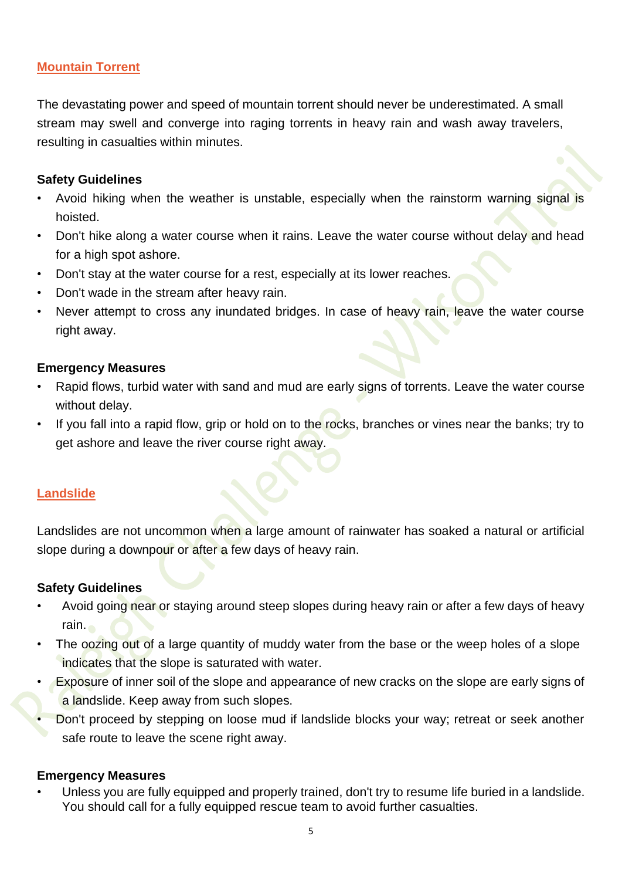### **Mountain Torrent**

The devastating power and speed of mountain torrent should never be underestimated. A small stream may swell and converge into raging torrents in heavy rain and wash away travelers, resulting in casualties within minutes.

### **Safety Guidelines**

- Avoid hiking when the weather is unstable, especially when the rainstorm warning signal is hoisted.
- Don't hike along a water course when it rains. Leave the water course without delay and head for a high spot ashore.
- Don't stay at the water course for a rest, especially at its lower reaches.
- Don't wade in the stream after heavy rain.
- Never attempt to cross any inundated bridges. In case of heavy rain, leave the water course right away.

#### **Emergency Measures**

- Rapid flows, turbid water with sand and mud are early signs of torrents. Leave the water course without delay.
- If you fall into a rapid flow, grip or hold on to the rocks, branches or vines near the banks; try to get ashore and leave the river course right away.

# **Landslide**

Landslides are not uncommon when a large amount of rainwater has soaked a natural or artificial slope during a downpour or after a few days of heavy rain.

#### **Safety Guidelines**

- Avoid going near or staying around steep slopes during heavy rain or after a few days of heavy rain.
- The oozing out of a large quantity of muddy water from the base or the weep holes of a slope indicates that the slope is saturated with water.
- Exposure of inner soil of the slope and appearance of new cracks on the slope are early signs of a landslide. Keep away from such slopes.
- Don't proceed by stepping on loose mud if landslide blocks your way; retreat or seek another safe route to leave the scene right away.

#### **Emergency Measures**

• Unless you are fully equipped and properly trained, don't try to resume life buried in a landslide. You should call for a fully equipped rescue team to avoid further casualties.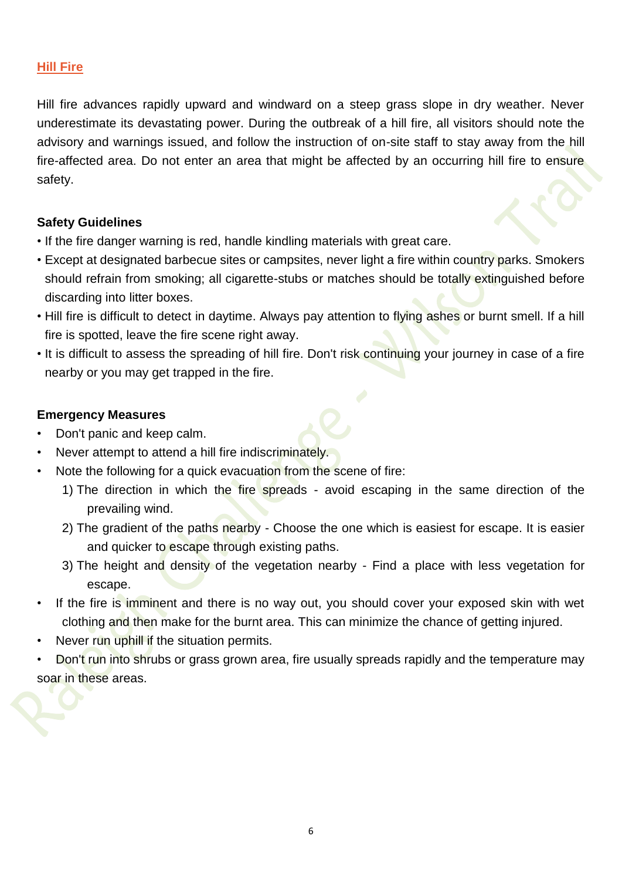#### **Hill Fire**

Hill fire advances rapidly upward and windward on a steep grass slope in dry weather. Never underestimate its devastating power. During the outbreak of a hill fire, all visitors should note the advisory and warnings issued, and follow the instruction of on-site staff to stay away from the hill fire-affected area. Do not enter an area that might be affected by an occurring hill fire to ensure safety.

#### **Safety Guidelines**

- If the fire danger warning is red, handle kindling materials with great care.
- Except at designated barbecue sites or campsites, never light a fire within country parks. Smokers should refrain from smoking; all cigarette-stubs or matches should be totally extinguished before discarding into litter boxes.
- Hill fire is difficult to detect in daytime. Always pay attention to flying ashes or burnt smell. If a hill fire is spotted, leave the fire scene right away.
- It is difficult to assess the spreading of hill fire. Don't risk continuing your journey in case of a fire nearby or you may get trapped in the fire.

- Don't panic and keep calm.
- Never attempt to attend a hill fire indiscriminately.
- Note the following for a quick evacuation from the scene of fire:
	- 1) The direction in which the fire spreads avoid escaping in the same direction of the prevailing wind.
	- 2) The gradient of the paths nearby Choose the one which is easiest for escape. It is easier and quicker to escape through existing paths.
	- 3) The height and density of the vegetation nearby Find a place with less vegetation for escape.
- If the fire is imminent and there is no way out, you should cover your exposed skin with wet clothing and then make for the burnt area. This can minimize the chance of getting injured.
- Never run uphill if the situation permits.
- Don't run into shrubs or grass grown area, fire usually spreads rapidly and the temperature may soar in these areas.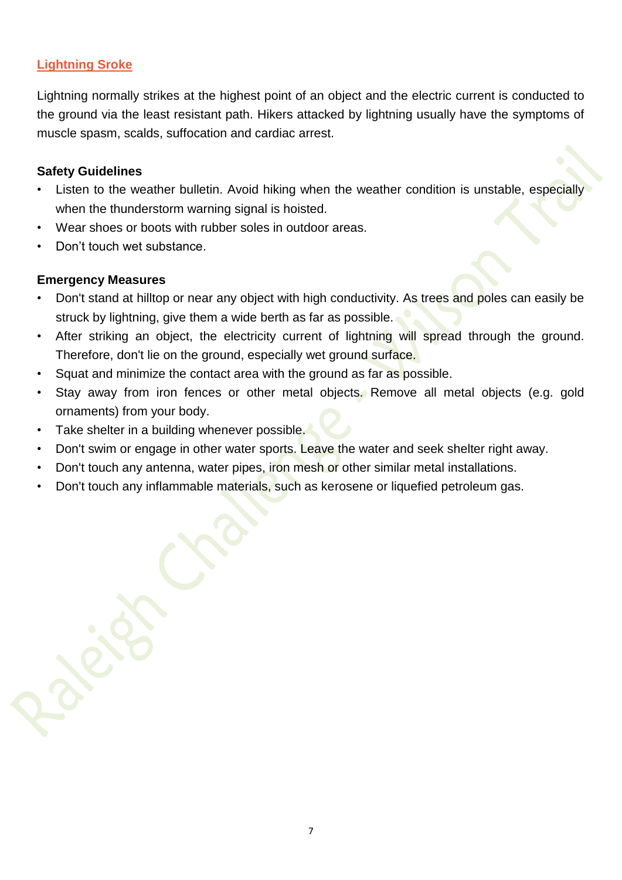# **Lightning Sroke**

Lightning normally strikes at the highest point of an object and the electric current is conducted to the ground via the least resistant path. Hikers attacked by lightning usually have the symptoms of muscle spasm, scalds, suffocation and cardiac arrest.

### **Safety Guidelines**

- Listen to the weather bulletin. Avoid hiking when the weather condition is unstable, especially when the thunderstorm warning signal is hoisted.
- Wear shoes or boots with rubber soles in outdoor areas.
- Don't touch wet substance.

- Don't stand at hilltop or near any object with high conductivity. As trees and poles can easily be struck by lightning, give them a wide berth as far as possible.
- After striking an object, the electricity current of lightning will spread through the ground. Therefore, don't lie on the ground, especially wet ground surface.
- Squat and minimize the contact area with the ground as far as possible.
- Stay away from iron fences or other metal objects. Remove all metal objects (e.g. gold ornaments) from your body.
- Take shelter in a building whenever possible.
- Don't swim or engage in other water sports. Leave the water and seek shelter right away.
- Don't touch any antenna, water pipes, iron mesh or other similar metal installations.
- Don't touch any inflammable materials, such as kerosene or liquefied petroleum gas.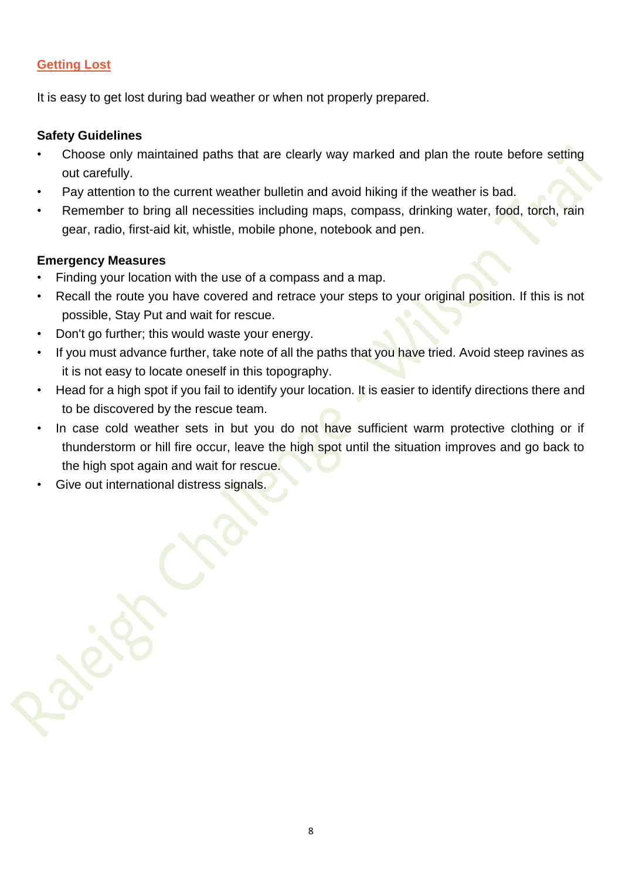# **Getting Lost**

It is easy to get lost during bad weather or when not properly prepared.

### **Safety Guidelines**

- Choose only maintained paths that are clearly way marked and plan the route before setting out carefully.
- Pay attention to the current weather bulletin and avoid hiking if the weather is bad.
- Remember to bring all necessities including maps, compass, drinking water, food, torch, rain gear, radio, first-aid kit, whistle, mobile phone, notebook and pen.

- Finding your location with the use of a compass and a map.
- Recall the route you have covered and retrace your steps to your original position. If this is not possible, Stay Put and wait for rescue.
- Don't go further; this would waste your energy.
- If you must advance further, take note of all the paths that you have tried. Avoid steep ravines as it is not easy to locate oneself in this topography.
- Head for a high spot if you fail to identify your location. It is easier to identify directions there and to be discovered by the rescue team.
- In case cold weather sets in but you do not have sufficient warm protective clothing or if thunderstorm or hill fire occur, leave the high spot until the situation improves and go back to the high spot again and wait for rescue.
- Give out international distress signals.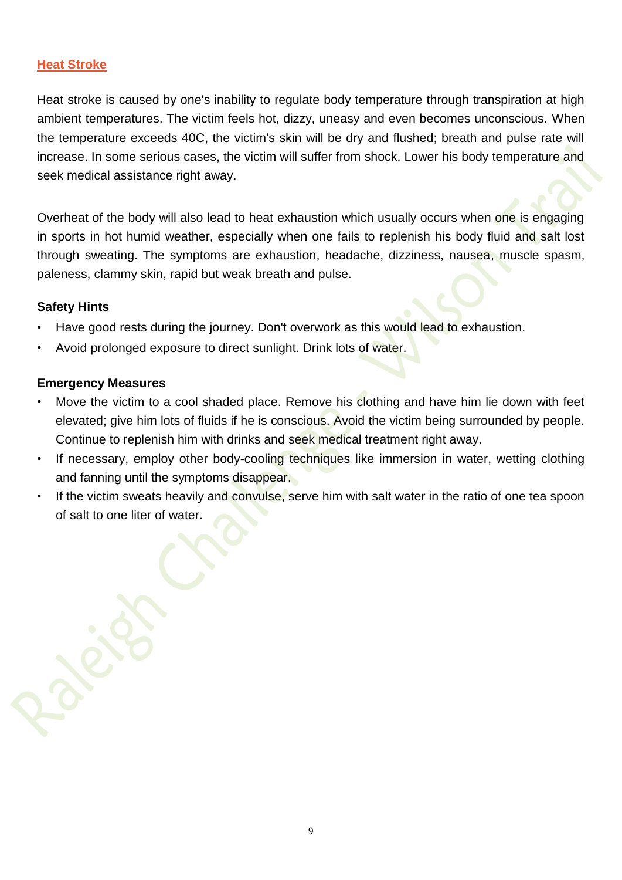### **Heat Stroke**

Heat stroke is caused by one's inability to regulate body temperature through transpiration at high ambient temperatures. The victim feels hot, dizzy, uneasy and even becomes unconscious. When the temperature exceeds 40C, the victim's skin will be dry and flushed; breath and pulse rate will increase. In some serious cases, the victim will suffer from shock. Lower his body temperature and seek medical assistance right away.

Overheat of the body will also lead to heat exhaustion which usually occurs when one is engaging in sports in hot humid weather, especially when one fails to replenish his body fluid and salt lost through sweating. The symptoms are exhaustion, headache, dizziness, nausea, muscle spasm, paleness, clammy skin, rapid but weak breath and pulse.

#### **Safety Hints**

- Have good rests during the journey. Don't overwork as this would lead to exhaustion.
- Avoid prolonged exposure to direct sunlight. Drink lots of water.

- Move the victim to a cool shaded place. Remove his clothing and have him lie down with feet elevated; give him lots of fluids if he is conscious. Avoid the victim being surrounded by people. Continue to replenish him with drinks and seek medical treatment right away.
- If necessary, employ other body-cooling techniques like immersion in water, wetting clothing and fanning until the symptoms disappear.
- If the victim sweats heavily and convulse, serve him with salt water in the ratio of one tea spoon of salt to one liter of water.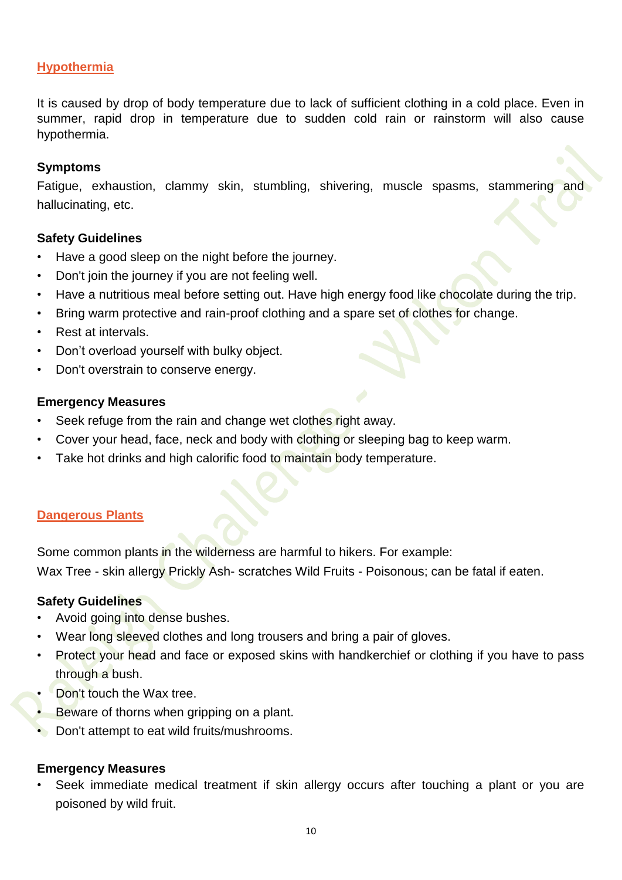### **Hypothermia**

It is caused by drop of body temperature due to lack of sufficient clothing in a cold place. Even in summer, rapid drop in temperature due to sudden cold rain or rainstorm will also cause hypothermia.

#### **Symptoms**

Fatigue, exhaustion, clammy skin, stumbling, shivering, muscle spasms, stammering and hallucinating, etc.

#### **Safety Guidelines**

- Have a good sleep on the night before the journey.
- Don't join the journey if you are not feeling well.
- Have a nutritious meal before setting out. Have high energy food like chocolate during the trip.
- Bring warm protective and rain-proof clothing and a spare set of clothes for change.
- Rest at intervals.
- Don't overload yourself with bulky object.
- Don't overstrain to conserve energy.

#### **Emergency Measures**

- Seek refuge from the rain and change wet clothes right away.
- Cover your head, face, neck and body with clothing or sleeping bag to keep warm.
- Take hot drinks and high calorific food to maintain body temperature.

#### **Dangerous Plants**

Some common plants in the wilderness are harmful to hikers. For example: Wax Tree - skin allergy Prickly Ash- scratches Wild Fruits - Poisonous; can be fatal if eaten.

#### **Safety Guidelines**

- Avoid going into dense bushes.
- Wear long sleeved clothes and long trousers and bring a pair of gloves.
- Protect your head and face or exposed skins with handkerchief or clothing if you have to pass through a bush.
- Don't touch the Wax tree.
- Beware of thorns when gripping on a plant.
- Don't attempt to eat wild fruits/mushrooms.

#### **Emergency Measures**

Seek immediate medical treatment if skin allergy occurs after touching a plant or you are poisoned by wild fruit.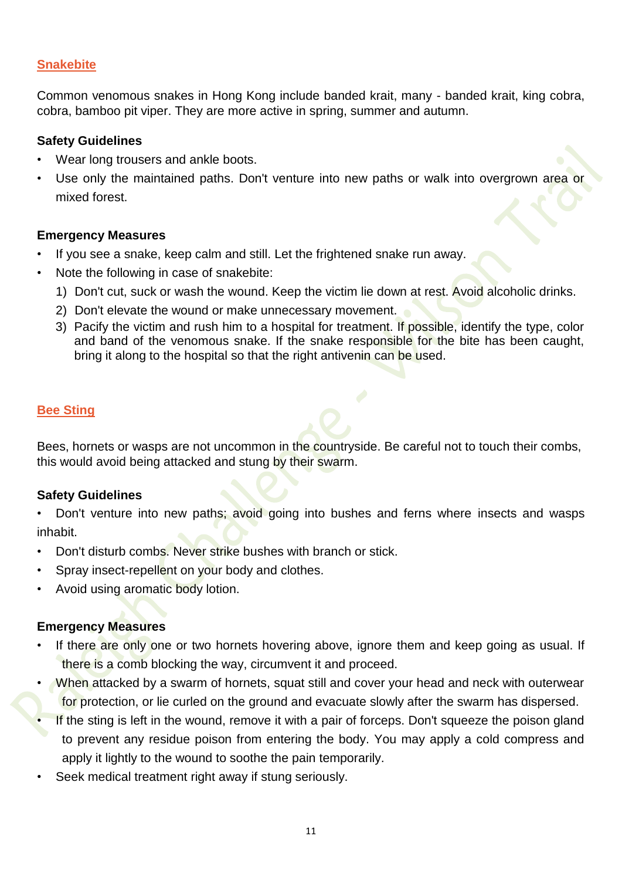# **Snakebite**

Common venomous snakes in Hong Kong include banded krait, many - banded krait, king cobra, cobra, bamboo pit viper. They are more active in spring, summer and autumn.

### **Safety Guidelines**

- Wear long trousers and ankle boots.
- Use only the maintained paths. Don't venture into new paths or walk into overgrown area or mixed forest.

### **Emergency Measures**

- If you see a snake, keep calm and still. Let the frightened snake run away.
- Note the following in case of snakebite:
	- 1) Don't cut, suck or wash the wound. Keep the victim lie down at rest. Avoid alcoholic drinks.
	- 2) Don't elevate the wound or make unnecessary movement.
	- 3) Pacify the victim and rush him to a hospital for treatment. If possible, identify the type, color and band of the venomous snake. If the snake responsible for the bite has been caught, bring it along to the hospital so that the right antivenin can be used.

# **Bee Sting**

Bees, hornets or wasps are not uncommon in the countryside. Be careful not to touch their combs, this would avoid being attacked and stung by their swarm.

#### **Safety Guidelines**

- Don't venture into new paths; avoid going into bushes and ferns where insects and wasps inhabit.
- Don't disturb combs. Never strike bushes with branch or stick.
- Spray insect-repellent on your body and clothes.
- Avoid using aromatic body lotion.

- If there are only one or two hornets hovering above, ignore them and keep going as usual. If there is a comb blocking the way, circumvent it and proceed.
- When attacked by a swarm of hornets, squat still and cover your head and neck with outerwear for protection, or lie curled on the ground and evacuate slowly after the swarm has dispersed.
- If the sting is left in the wound, remove it with a pair of forceps. Don't squeeze the poison gland to prevent any residue poison from entering the body. You may apply a cold compress and apply it lightly to the wound to soothe the pain temporarily.
- Seek medical treatment right away if stung seriously.